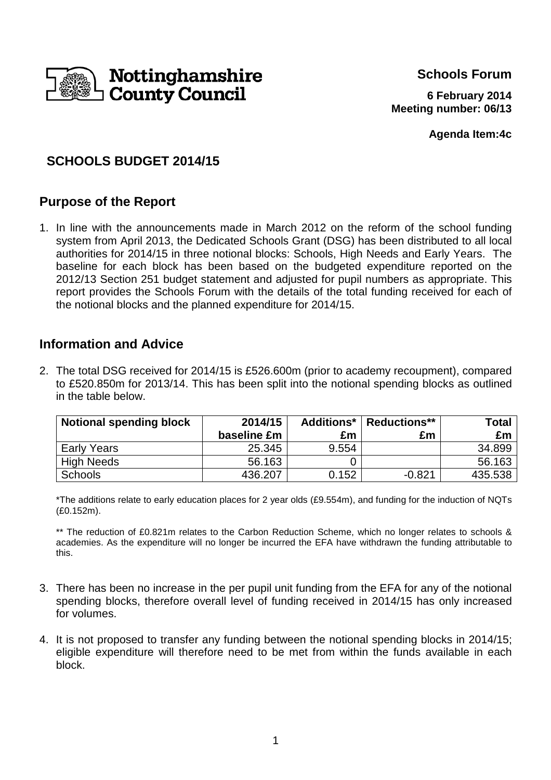

**Schools Forum**

**6 February 2014 Meeting number: 06/13**

**Agenda Item:4c**

# **SCHOOLS BUDGET 2014/15**

## **Purpose of the Report**

1. In line with the announcements made in March 2012 on the reform of the school funding system from April 2013, the Dedicated Schools Grant (DSG) has been distributed to all local authorities for 2014/15 in three notional blocks: Schools, High Needs and Early Years. The baseline for each block has been based on the budgeted expenditure reported on the 2012/13 Section 251 budget statement and adjusted for pupil numbers as appropriate. This report provides the Schools Forum with the details of the total funding received for each of the notional blocks and the planned expenditure for 2014/15.

## **Information and Advice**

2. The total DSG received for 2014/15 is £526.600m (prior to academy recoupment), compared to £520.850m for 2013/14. This has been split into the notional spending blocks as outlined in the table below.

| <b>Notional spending block</b> | 2014/15     |       | <b>Additions*</b>   Reductions** | Total I |
|--------------------------------|-------------|-------|----------------------------------|---------|
|                                | baseline £m | £m    | £m                               | £m      |
| <b>Early Years</b>             | 25.345      | 9.554 |                                  | 34.899  |
| <b>High Needs</b>              | 56.163      |       |                                  | 56.163  |
| <b>Schools</b>                 | 436.207     | 0.152 | $-0.821$                         | 435.538 |

\*The additions relate to early education places for 2 year olds (£9.554m), and funding for the induction of NQTs (£0.152m).

\*\* The reduction of £0.821m relates to the Carbon Reduction Scheme, which no longer relates to schools & academies. As the expenditure will no longer be incurred the EFA have withdrawn the funding attributable to this.

- 3. There has been no increase in the per pupil unit funding from the EFA for any of the notional spending blocks, therefore overall level of funding received in 2014/15 has only increased for volumes.
- 4. It is not proposed to transfer any funding between the notional spending blocks in 2014/15; eligible expenditure will therefore need to be met from within the funds available in each block.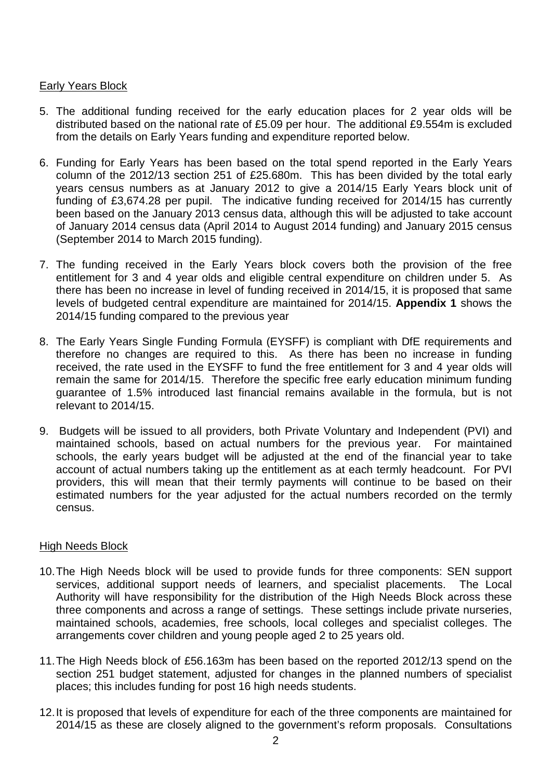#### **Early Years Block**

- 5. The additional funding received for the early education places for 2 year olds will be distributed based on the national rate of £5.09 per hour. The additional £9.554m is excluded from the details on Early Years funding and expenditure reported below.
- 6. Funding for Early Years has been based on the total spend reported in the Early Years column of the 2012/13 section 251 of £25.680m. This has been divided by the total early years census numbers as at January 2012 to give a 2014/15 Early Years block unit of funding of £3,674.28 per pupil. The indicative funding received for 2014/15 has currently been based on the January 2013 census data, although this will be adjusted to take account of January 2014 census data (April 2014 to August 2014 funding) and January 2015 census (September 2014 to March 2015 funding).
- 7. The funding received in the Early Years block covers both the provision of the free entitlement for 3 and 4 year olds and eligible central expenditure on children under 5. As there has been no increase in level of funding received in 2014/15, it is proposed that same levels of budgeted central expenditure are maintained for 2014/15. **Appendix 1** shows the 2014/15 funding compared to the previous year
- 8. The Early Years Single Funding Formula (EYSFF) is compliant with DfE requirements and therefore no changes are required to this. As there has been no increase in funding received, the rate used in the EYSFF to fund the free entitlement for 3 and 4 year olds will remain the same for 2014/15. Therefore the specific free early education minimum funding guarantee of 1.5% introduced last financial remains available in the formula, but is not relevant to 2014/15.
- 9. Budgets will be issued to all providers, both Private Voluntary and Independent (PVI) and maintained schools, based on actual numbers for the previous year. For maintained schools, the early years budget will be adjusted at the end of the financial year to take account of actual numbers taking up the entitlement as at each termly headcount. For PVI providers, this will mean that their termly payments will continue to be based on their estimated numbers for the year adjusted for the actual numbers recorded on the termly census.

#### High Needs Block

- 10. The High Needs block will be used to provide funds for three components: SEN support services, additional support needs of learners, and specialist placements. The Local Authority will have responsibility for the distribution of the High Needs Block across these three components and across a range of settings. These settings include private nurseries, maintained schools, academies, free schools, local colleges and specialist colleges. The arrangements cover children and young people aged 2 to 25 years old.
- 11. The High Needs block of £56.163m has been based on the reported 2012/13 spend on the section 251 budget statement, adjusted for changes in the planned numbers of specialist places; this includes funding for post 16 high needs students.
- 12. It is proposed that levels of expenditure for each of the three components are maintained for 2014/15 as these are closely aligned to the government's reform proposals. Consultations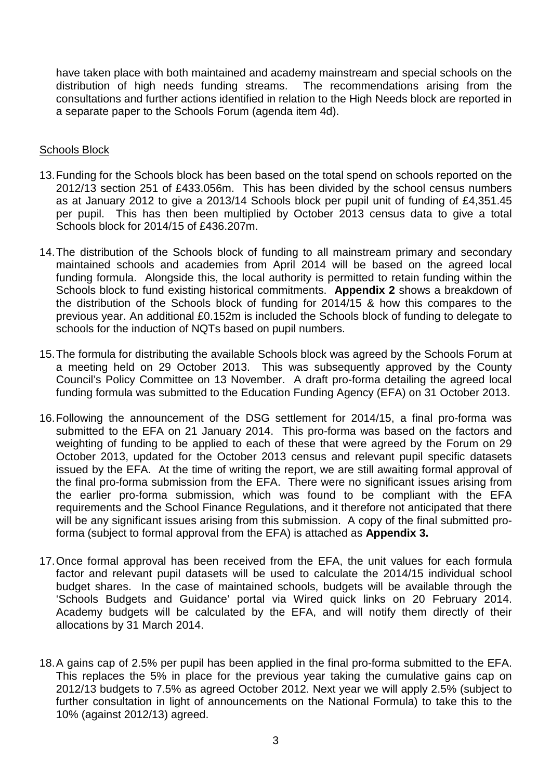have taken place with both maintained and academy mainstream and special schools on the distribution of high needs funding streams. The recommendations arising from the consultations and further actions identified in relation to the High Needs block are reported in a separate paper to the Schools Forum (agenda item 4d).

#### Schools Block

- 13. Funding for the Schools block has been based on the total spend on schools reported on the 2012/13 section 251 of £433.056m. This has been divided by the school census numbers as at January 2012 to give a 2013/14 Schools block per pupil unit of funding of £4,351.45 per pupil. This has then been multiplied by October 2013 census data to give a total Schools block for 2014/15 of £436.207m.
- 14. The distribution of the Schools block of funding to all mainstream primary and secondary maintained schools and academies from April 2014 will be based on the agreed local funding formula. Alongside this, the local authority is permitted to retain funding within the Schools block to fund existing historical commitments. **Appendix 2** shows a breakdown of the distribution of the Schools block of funding for 2014/15 & how this compares to the previous year. An additional £0.152m is included the Schools block of funding to delegate to schools for the induction of NQTs based on pupil numbers.
- 15. The formula for distributing the available Schools block was agreed by the Schools Forum at a meeting held on 29 October 2013. This was subsequently approved by the County Council's Policy Committee on 13 November. A draft pro-forma detailing the agreed local funding formula was submitted to the Education Funding Agency (EFA) on 31 October 2013.
- 16. Following the announcement of the DSG settlement for 2014/15, a final pro-forma was submitted to the EFA on 21 January 2014. This pro-forma was based on the factors and weighting of funding to be applied to each of these that were agreed by the Forum on 29 October 2013, updated for the October 2013 census and relevant pupil specific datasets issued by the EFA. At the time of writing the report, we are still awaiting formal approval of the final pro-forma submission from the EFA. There were no significant issues arising from the earlier pro-forma submission, which was found to be compliant with the EFA requirements and the School Finance Regulations, and it therefore not anticipated that there will be any significant issues arising from this submission. A copy of the final submitted proforma (subject to formal approval from the EFA) is attached as **Appendix 3.**
- 17. Once formal approval has been received from the EFA, the unit values for each formula factor and relevant pupil datasets will be used to calculate the 2014/15 individual school budget shares. In the case of maintained schools, budgets will be available through the 'Schools Budgets and Guidance' portal via Wired quick links on 20 February 2014. Academy budgets will be calculated by the EFA, and will notify them directly of their allocations by 31 March 2014.
- 18. A gains cap of 2.5% per pupil has been applied in the final pro-forma submitted to the EFA. This replaces the 5% in place for the previous year taking the cumulative gains cap on 2012/13 budgets to 7.5% as agreed October 2012. Next year we will apply 2.5% (subject to further consultation in light of announcements on the National Formula) to take this to the 10% (against 2012/13) agreed.